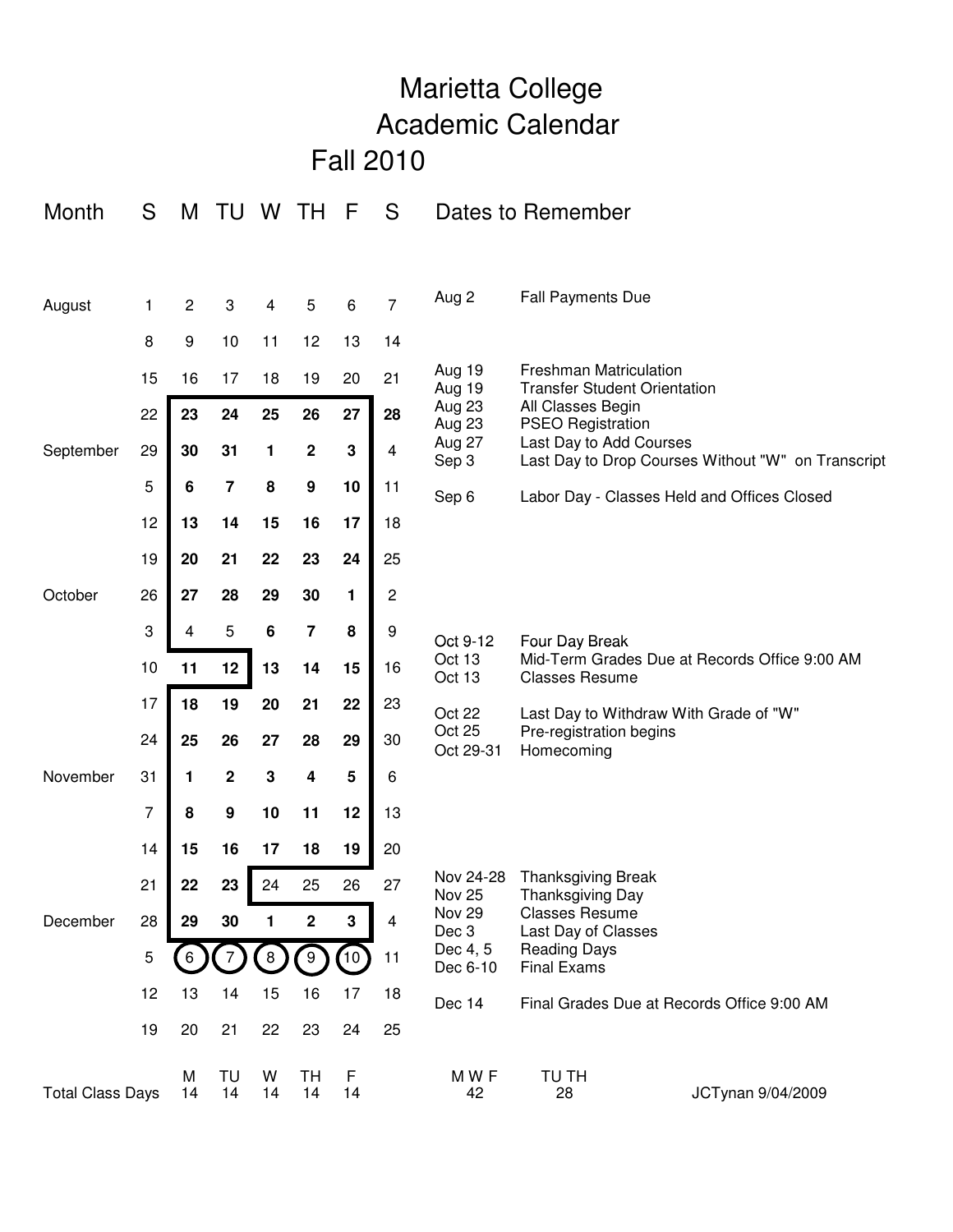## Marietta College Academic Calendar Fall 2010

| S<br>Month              |    | Μ              | <b>TU</b>               | W         | TН                      | F       | S              | Dates to Remember      |                                                                                                                                |  |  |
|-------------------------|----|----------------|-------------------------|-----------|-------------------------|---------|----------------|------------------------|--------------------------------------------------------------------------------------------------------------------------------|--|--|
|                         |    |                |                         |           |                         |         |                |                        |                                                                                                                                |  |  |
| August                  | 1  | $\overline{c}$ | 3                       | 4         | 5                       | 6       | $\overline{7}$ | Aug 2                  | <b>Fall Payments Due</b>                                                                                                       |  |  |
|                         | 8  | 9              | 10                      | 11        | 12                      | 13      | 14             |                        |                                                                                                                                |  |  |
|                         | 15 | 16             | 17                      | 18        | 19                      | 20      | 21             | Aug 19<br>Aug 19       | <b>Freshman Matriculation</b><br><b>Transfer Student Orientation</b>                                                           |  |  |
|                         | 22 | 23             | 24                      | 25        | 26                      | 27      | 28             | Aug 23<br>Aug 23       | All Classes Begin<br><b>PSEO Registration</b><br>Last Day to Add Courses<br>Last Day to Drop Courses Without "W" on Transcript |  |  |
| September               | 29 | 30             | 31                      | 1         | $\mathbf 2$             | 3       | 4              | Aug 27<br>Sep 3        |                                                                                                                                |  |  |
|                         | 5  | 6              | $\overline{\mathbf{7}}$ | 8         | 9                       | 10      | 11             | Sep 6                  | Labor Day - Classes Held and Offices Closed                                                                                    |  |  |
|                         | 12 | 13             | 14                      | 15        | 16                      | 17      | 18             |                        |                                                                                                                                |  |  |
|                         | 19 | 20             | 21                      | 22        | 23                      | 24      | 25             |                        |                                                                                                                                |  |  |
| October                 | 26 | 27             | 28                      | 29        | 30                      | 1       | 2              |                        |                                                                                                                                |  |  |
|                         | 3  | 4              | 5                       | 6         | $\overline{\mathbf{7}}$ | 8       | 9              | Oct 9-12               | Four Day Break                                                                                                                 |  |  |
|                         | 10 | 11             | 12                      | 13        | 14                      | 15      | 16             | Oct 13<br>Oct 13       | Mid-Term Grades Due at Records Office 9:00 AM<br><b>Classes Resume</b>                                                         |  |  |
|                         | 17 | 18             | 19                      | 20        | 21                      | 22      | 23             | Oct 22                 | Last Day to Withdraw With Grade of "W"                                                                                         |  |  |
|                         | 24 | 25             | 26                      | 27        | 28                      | 29      | 30             | Oct 25<br>Oct 29-31    | Pre-registration begins<br>Homecoming                                                                                          |  |  |
| November                | 31 | 1              | $\mathbf 2$             | ${\bf 3}$ | 4                       | 5       | 6              |                        |                                                                                                                                |  |  |
|                         | 7  | 8              | $\boldsymbol{9}$        | 10        | 11                      | 12      | 13             |                        |                                                                                                                                |  |  |
|                         | 14 | 15             | 16                      | 17        | 18                      | 19      | 20             |                        |                                                                                                                                |  |  |
|                         | 21 | 22             | 23                      | 24        | 25                      | 26      | 27             | Nov 24-28<br>Nov 25    | <b>Thanksgiving Break</b><br>Thanksgiving Day<br><b>Classes Resume</b><br>Last Day of Classes                                  |  |  |
| December                | 28 | 29             | 30                      | 1         | $\mathbf 2$             | 3       | 4              | <b>Nov 29</b><br>Dec 3 |                                                                                                                                |  |  |
|                         | 5  |                |                         | 8         | 9                       | (10)    | 11             | Dec 4, 5<br>Dec 6-10   | <b>Reading Days</b><br><b>Final Exams</b>                                                                                      |  |  |
|                         | 12 | 13             | 14                      | 15        | 16                      | 17      | 18             | Dec 14                 | Final Grades Due at Records Office 9:00 AM                                                                                     |  |  |
|                         | 19 | 20             | 21                      | 22        | 23                      | 24      | 25             |                        |                                                                                                                                |  |  |
| <b>Total Class Days</b> |    | M<br>14        | TU<br>14                | W<br>14   | TН<br>14                | F<br>14 |                | MWF<br>42              | TU TH<br>JCTynan 9/04/2009<br>28                                                                                               |  |  |